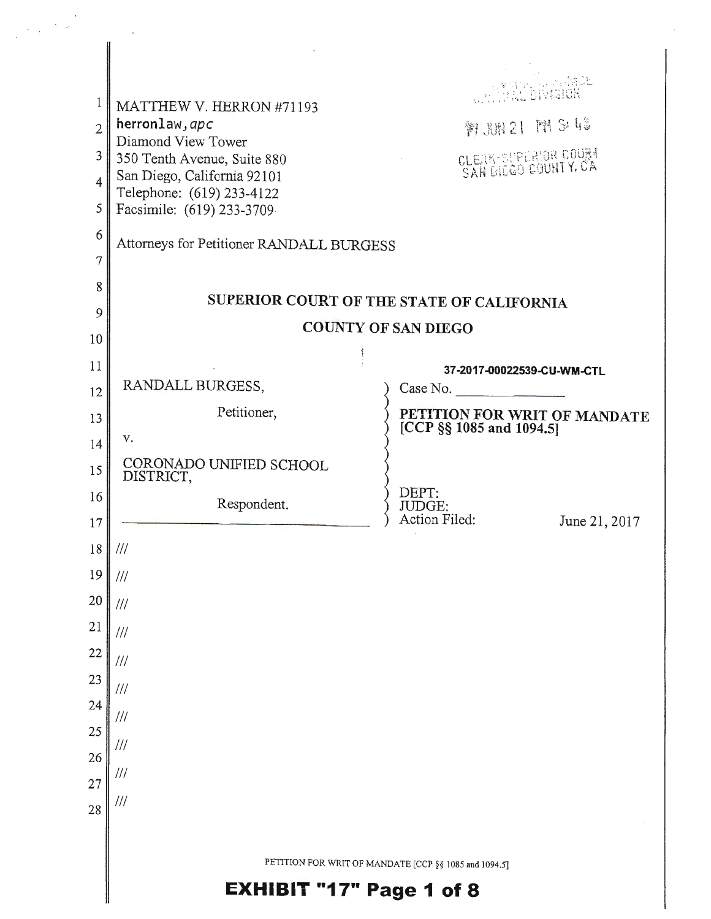| $\delta=\varphi$                                                                |                                                                                                                                                                                                                                      |                                                       |
|---------------------------------------------------------------------------------|--------------------------------------------------------------------------------------------------------------------------------------------------------------------------------------------------------------------------------------|-------------------------------------------------------|
| 1<br>$\overline{2}$<br>3<br>$\overline{4}$<br>5<br>$\sqrt{6}$<br>$\overline{7}$ | MATTHEW V. HERRON #71193<br>herronlaw, apc<br>Diamond View Tower<br>350 Tenth Avenue, Suite 880<br>San Diego, California 92101<br>Telephone: (619) 233-4122<br>Facsimile: (619) 233-3709<br>Attorneys for Petitioner RANDALL BURGESS | 斜规1 图概牌<br>CLEAK-SUPERIOR COURT                       |
| 8                                                                               |                                                                                                                                                                                                                                      | SUPERIOR COURT OF THE STATE OF CALIFORNIA             |
| 9                                                                               |                                                                                                                                                                                                                                      | <b>COUNTY OF SAN DIEGO</b>                            |
| 10                                                                              |                                                                                                                                                                                                                                      |                                                       |
| 11<br>12                                                                        | RANDALL BURGESS,                                                                                                                                                                                                                     | 37-2017-00022539-CU-WM-CTL<br>Case No.                |
| 13                                                                              | Petitioner,                                                                                                                                                                                                                          | PETITION FOR WRIT OF MANDATE                          |
| 14                                                                              | V.                                                                                                                                                                                                                                   | [CCP §§ 1085 and 1094.5]                              |
| 15                                                                              | CORONADO UNIFIED SCHOOL<br>DISTRICT,                                                                                                                                                                                                 |                                                       |
| 16                                                                              | Respondent.                                                                                                                                                                                                                          | DEPT:<br>JUDGE:                                       |
| $17\,$                                                                          |                                                                                                                                                                                                                                      | Action Filed:<br>June 21, 2017                        |
| $18\,$                                                                          | $\frac{1}{1}$                                                                                                                                                                                                                        |                                                       |
| 19                                                                              | $\frac{1}{1}$                                                                                                                                                                                                                        |                                                       |
| 20<br>21                                                                        | $^{\prime\prime\prime}$                                                                                                                                                                                                              |                                                       |
| 22                                                                              | 111                                                                                                                                                                                                                                  |                                                       |
| 23                                                                              | $\frac{1}{1}$                                                                                                                                                                                                                        |                                                       |
| 24                                                                              | 111                                                                                                                                                                                                                                  |                                                       |
| 25                                                                              | $\frac{1}{1}$                                                                                                                                                                                                                        |                                                       |
| 26                                                                              | $^{\prime\prime\prime}$                                                                                                                                                                                                              |                                                       |
| 27                                                                              | ///<br>$^{\prime\prime\prime}$                                                                                                                                                                                                       |                                                       |
| 28                                                                              |                                                                                                                                                                                                                                      |                                                       |
|                                                                                 |                                                                                                                                                                                                                                      | PETITION FOR WRIT OF MANDATE [CCP §§ 1085 and 1094.5] |
|                                                                                 | <b>EXHIBIT "17" Page 1 of 8</b>                                                                                                                                                                                                      |                                                       |
|                                                                                 |                                                                                                                                                                                                                                      |                                                       |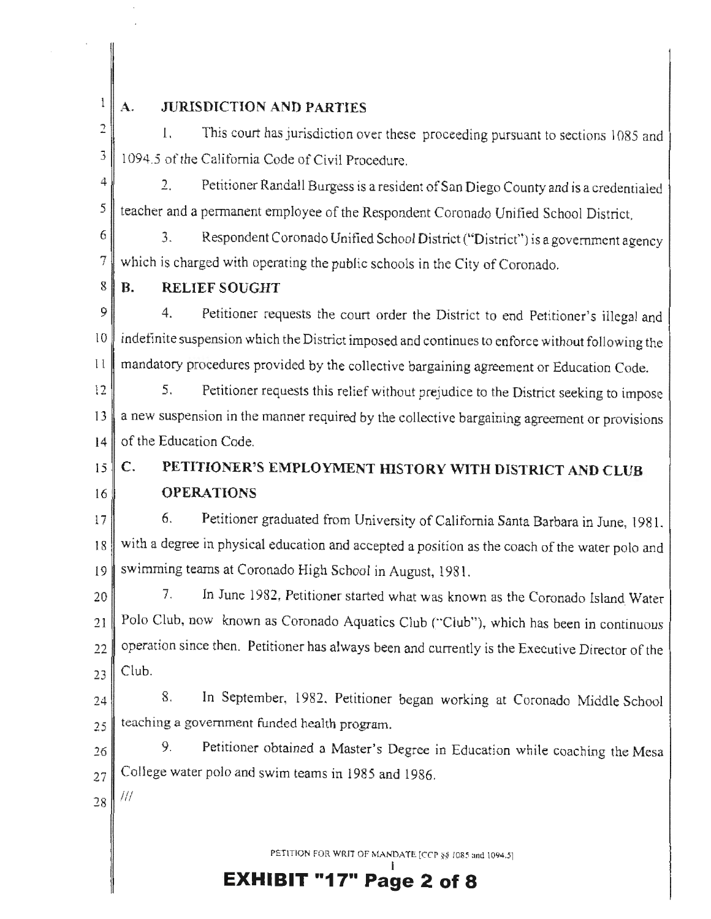## $\mathbf{1}$

### **A. JURISDICTION AND PARTIES**

 $\overline{2}$ 1. This court has jurisdiction over these proceeding pursuant to sections 1085 and  $3 \parallel 1094.5$  of the California Code of Civil Procedure.

 $4 \parallel$  2. Petitioner Randall Burgess is a resident of San Diego County and is a credentialed  $5$  teacher and a permanent employee of the Respondent Coronado Unified School District.

 $6 \parallel$  3. Respondent Coronado Unified School District ("District") is a government agency 7 which is charged with operating the public schools in the City of Coronado.

 $8$  | **B**. **RELIEF SOUGHT** 

9 4. Petitioner requests the court order the District to end Petitioner's illegal and  $10$  indefinite suspension which the District imposed and continues to enforce without following the 11 mandatory procedures provided by the collective bargaining agreement or Education Code.

12 5. Petitioner requests this relief without prejudice to the District seeking to impose 13 anew suspension in the manner required by the collective bargaining agreement or provisions 14 of the Education Code.

 $15$  C. 16 **PETITIONER'S EMPLOYMENT HISTORY WITH DISTRICT AND CLUB OPERATIONS** 

17 6. Petitioner graduated from University of California Santa Barbara in June, 1981. 18 with a degree in physical education and accepted a position as the coach of the water polo and 19 swimming teams at Coronado High School in August, 1981.

20 7. In June 1982, Petitioner started what was known as the Coronado Island Water  $21$  Polo Club, now known as Coronado Aquatics Club ("Club"), which has been in continuous  $22$  operation since then. Petitioner has always been and currently is the Executive Director of the  $23$  Club.

24 8. In September, 1982. Petitioner began working at Coronado Middle School  $_{25}$  teaching a government funded health program.

26 9. Petitioner obtained a Master's Degree in Education while coaching the Mesa  $_{27}$  College water polo and swim teams in 1985 and 1986.

 $28$  ///

PETITION FOR WRIT OF MANDATE [CCP §§ 1085 and 1094.5]

I **EXHIBIT "17" Page 2 of 8**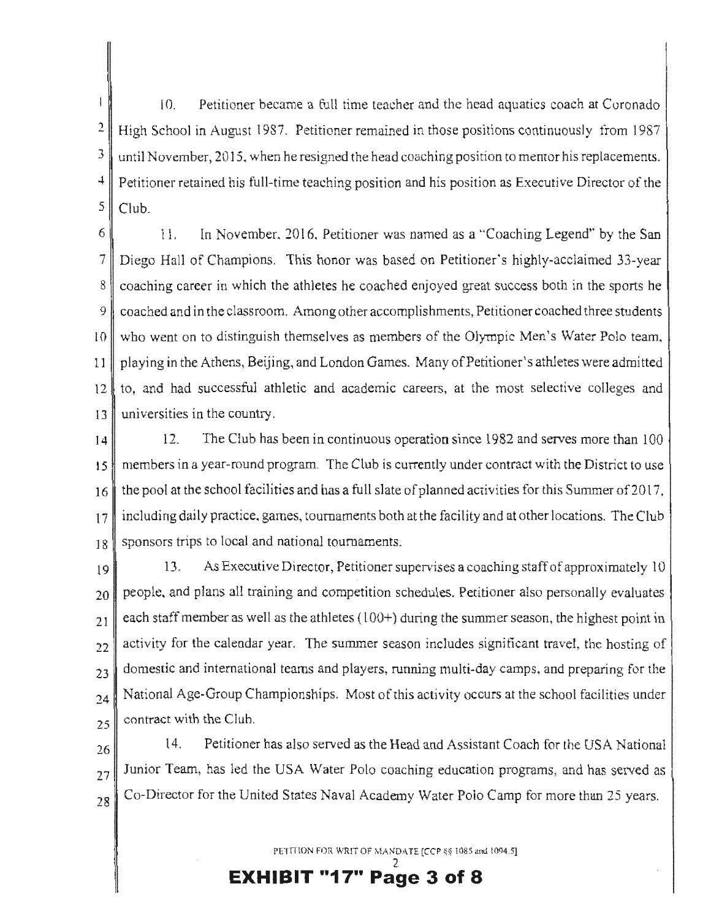$\overline{1}$ 10. Petitioner became a full time teacher and the head aquatics coach at Coronado  $\overline{2}$ High School in August 1987. Petitioner remained in those positions continuously from 1987 J until November, 2015, when he resigned the head coaching position to mentor his replacements. 4 Petitioner retained his full-time teaching position and his position as Executive Director of the  $5$  Club.

6 1 1. In November, 2016. Petitioner was named as a "Coaching Legend" by the San 7 Diego Hall of Champions. This honor was based on Petitioner's highly-acclaimed 33-year 8 coaching career in which the athletes he coached enjoyed great success both in the sports he 9 coached and in the classroom. Among other accomplishments, Petitioner coached three students JO who went on to distinguish themselves as members of the Olympic Men's Water Polo team, 11 playing in the Athens, Beijing, and London Games. Many of Petitioner's athletes were admitted 12 to, and had successful athletic and academic careers, at the most selective colleges and 13 universities in the country.

14 12. The Club has been in continuous operation since 1982 and serves more than 100 t *5* members in a year-round program. The Club is currently under contract with the District to use  $16$  the pool at the school facilities and has a full slate of planned activities for this Summer of 2017.  $17$  including daily practice, games, tournaments both at the facility and at other locations. The Club 18 sponsors trips to local and national tournaments.

l9 13. As Executive Director, Petitioner supervises a couching staff of approximately 10  $20$  people, and plans all training and competition schedules. Petitioner also personally evaluates  $_{21}$  each staff member as well as the athletes (100+) during the summer season, the highest point in  $_{22}$  activity for the calendar year. The summer season includes significant travel, the hosting of  $23$  domestic and international teams and players, running multi-day camps, and preparing for the  $_{24}$  National Age-Group Championships. Most of this activity occurs at the school facilities under  $r_{25}$  contract with the Club.

 $26$  14. Petitioner has also served as the Head and Assistant Coach for the USA National  $27$  Junior Team, has led the USA Water Polo coaching education programs, and has served as  $28$  Co-Director for the United States Naval Academy Water Polo Camp for more than 25 years.

PETITION FOR WRIT OF MANDATE [CCP §§ 1085 and 1094.5]

2 **EXHIBIT "17" Page 3 of 8**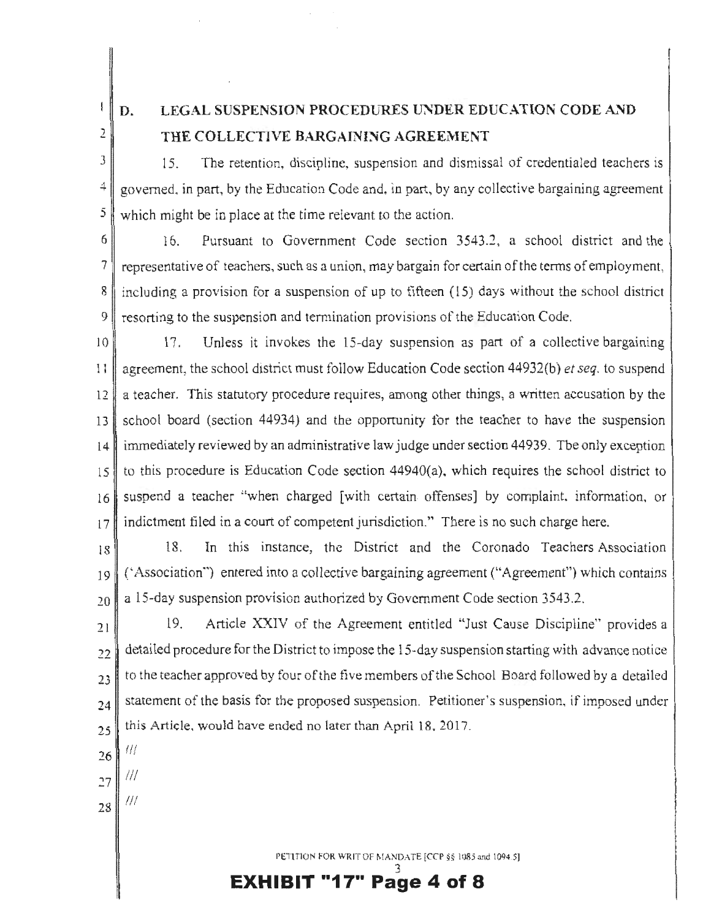$\{$ 2

**D.** 

# **LEGAL SUSPENSION PROCEDURES UNDER EDUCATION CODE AND THE COLLECTIVE BARGAINING AGREEMENT**

J 15. Tbe retention, discipline, suspension and dismissal of credentialed teachers is  $4 \parallel$  governed, in part, by the Education Code and, in part, by any collective bargaining agreement 5 which might be in place at the time relevant to the action.

6 16. Pursuant to Government Code section 3543.2, a school district and the 7 representative of teachers, such as a union, may bargain for certain of the tenns of employment, 8 including a provision for a suspension of up to fifteen (15) days without the school district 9 resorting to the suspension and termination provisions of the Education Code.

10 17. Unless it invokes the 15-day suspension as part of a collective bargaining <sup>11</sup>agreement, the school district must follow Education Code section 44932(b) *et seq.* to suspend 12 a teacher. This statutory procedure requires, among other things, a written accusation by the 13 school board (section 44934) and the opporrunity for the teacher to have the suspension 14 immediately reviewed by an administrative law judge under section 44939. Tbe only exception  $15$  to this procedure is Education Code section 44940(a), which requires the school district to 16 suspend a teacher "when charged [with certain offenses] by complaint, information, or  $17$  indictment filed in a court of competent jurisdiction." There is no such charge here.

18<sup>18</sup> 18. In this instance, the District and the Coronado Teachers Association  $19$  ('Association") entered into a collective bargaining agreement ("Agreement") which contains  $20$  a 15-day suspension provision authorized by Government Code section 3543.2.

 $21$  19. Article XXIV of the Agreement entitled "Just Cause Discipline" provides a  $_{22}$  detailed procedure for the District to impose the 15-day suspension starting with advance notice  $_{23}$  to the teacher approved by four of the five members of the School Board followed by a detailed  $_{24}$  statement of the basis for the proposed suspension. Petitioner's suspension, if imposed under  $25$  this Article, would have ended no later than April 18, 2017.

*26 !//* 

- *<sup>27</sup>*Ill
- $28$  ///

PETITION FOR WRIT OF MANDATE [CCP §§ 1085 and 1094.5]

3 **EXHIBIT "17" Page 4 of 8**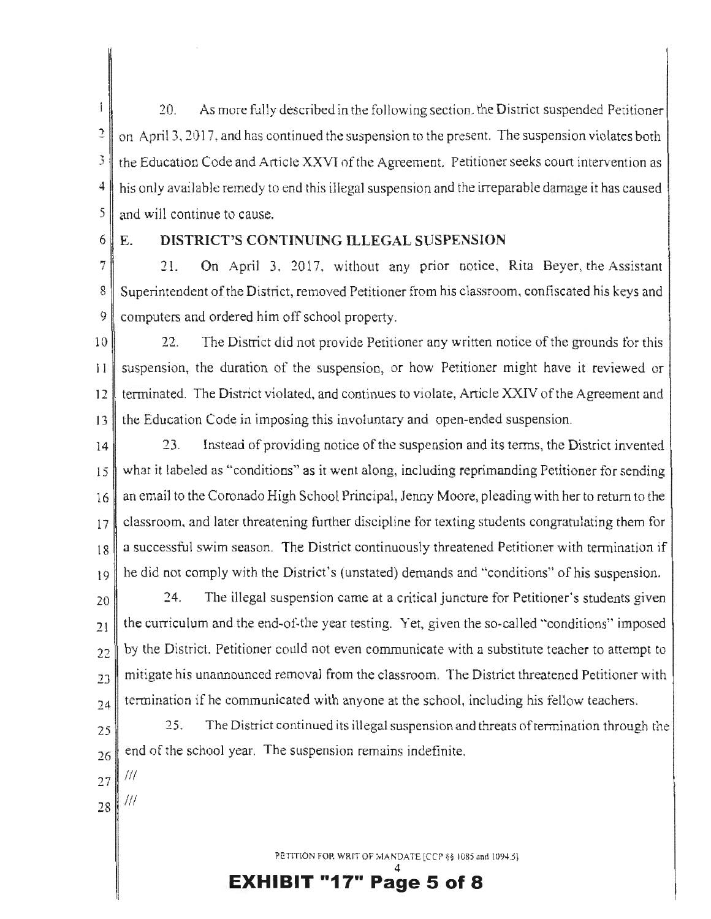$\mathbf{1}$ 20. As more fully described in the following section, the District suspended Petitioner  $2 \parallel$  on April 3, 2017, and has continued the suspension to the present. The suspension violates both *3* the Education Code and Article XXVI nf the Agreement. Petitioner seeks court intervention as **4** his only available remedy to end this illegal suspension and the irreparable damage it has caused  $\frac{5}{1}$  and will continue to cause.

 $6 \mid E$ .

### **DISTRICT'S CONTINUING ILLEGAL SUSPENSION**

7 21. On April 3, 2017, without any prior notice, Rita Beyer, the Assistant 8 Superintendent of the District, removed Petitioner from his classroom, confiscated his keys and 9 computers and ordered him off school property.

 $10$  22. The District did not provide Petitioner any written notice of the grounds for this  $\parallel$  I suspension, the duration of the suspension, or how Petitioner might have it reviewed or 12 terminated. The District violated, and continues to violate, Article XXIV of the Agreement and 13 the Education Code in imposing this involuntary and open-ended suspension.

14 23. Instead of providing notice of the suspension and its terms, the District invented what it labeled as "conditions" as it went along, including reprimanding Petitioner for sending an email to the Coronado High School Principal, Jenny Moore, pleading with her to return to the classroom, and later threatening further discipline for texting students congratulating them for a successful swim season. The District continuously threatened Petitioner with termination if 19 he did not comply with the District's (unstated) demands and "conditions" of his suspension.

 $_{20}$  24. The illegal suspension came at a critical juncture for Petitioner's students given  $21$  the curriculum and the end-of-the year testing. Yet, given the so-called "conditions" imposed  $22$  by the District, Petitioner could not even communicate with a substitute teacher to attempt to  $_{23}$  mitigate his unannounced removal from the classroom. The District threatened Petitioner with  $_{24}$  termination if he communicated with anyone at the school, including his fellow teachers.

<sup>25</sup><sub>25</sub> <sup>25</sup><sub>25</sub> <sup>25</sup>. The District continued its illegal suspension and threats of termination through the  $26\parallel$  end of the school year. The suspension remains indefinite.

- $27$ |  $'''$
- $28$ |  $\frac{1}{11}$

PETITION FOR WRIT OF MANDATE [CCP §§ 1085 and 1094.5].

4 **EXHIBIT "17" Page 5 of 8**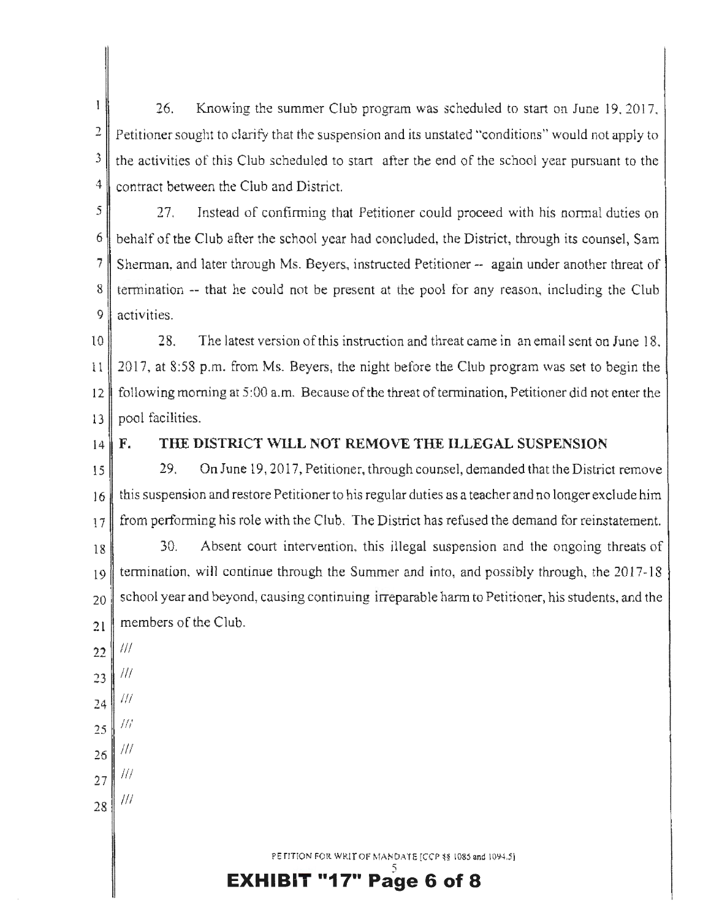$\mathbf{I}$ 26. Knowing the summer Club program was scheduled to start on June 19. 2017. 2 **Petitioner sought to clarify that the suspension and its unstated "conditions" would not apply to 2.1 Petitioner**  $3 \parallel$  the activities of this Club scheduled to start after the end of the school year pursuant to the <sup>4</sup> contract between the Club and District.

 $\begin{bmatrix} 5 \end{bmatrix}$  27. Instead of confirming that Petitioner could proceed with his normal duties on  $6 \parallel$  behalf of the Club after the school year had concluded, the District, through its counsel, Sam 7 Sherman, and later through Ms. Beyers, instructed Petitioner -- again under another threat of  $8 \parallel$  termination -- that he could not be present at the pool for any reason, including the Club 9 activities.

lO 28. The latest version of this instruction and threat came in an email sent on June 18. 11 2017, at 8:58 p.m. from Ms. Beyers, the night before the Club program was set to begin the 12 following morning at 5:00 a.m. Because of the threat of termination, Petitioner did not enter the 13 pool facilities.

#### 14 **F. THE DISTRICT WILL NOT REMOVE THE ILLEGAL SUSPENSION**

 $15$  29. On June 19, 2017, Petitioner, through counsel, demanded that the District remove  $16$  this suspension and restore Petitioner to his regular duties as a teacher and no longer exclude him  $17$  from performing his role with the Club. The District has refused the demand for reinstatement.

18 30. Absent court intervention, this illegal suspension and the ongoing threats of 19 termination, wil1 continue through the Summer and into, and possibly through, the 2017-18  $_{20}$  school year and beyond, causing continuing irreparable harm to Petitioner, his students, and the 21 members of the Club.

- 22 Ill
- 23 Ill
- 24 Ill
- $H\!I$
- *15*  Ill
- *16*
- 27 III

Ill

28

PETITION FOR WRIT OF MANDATE [CCP  $\frac{18}{5}$  1085 and 1094.5] 5

**Page 6 of 8**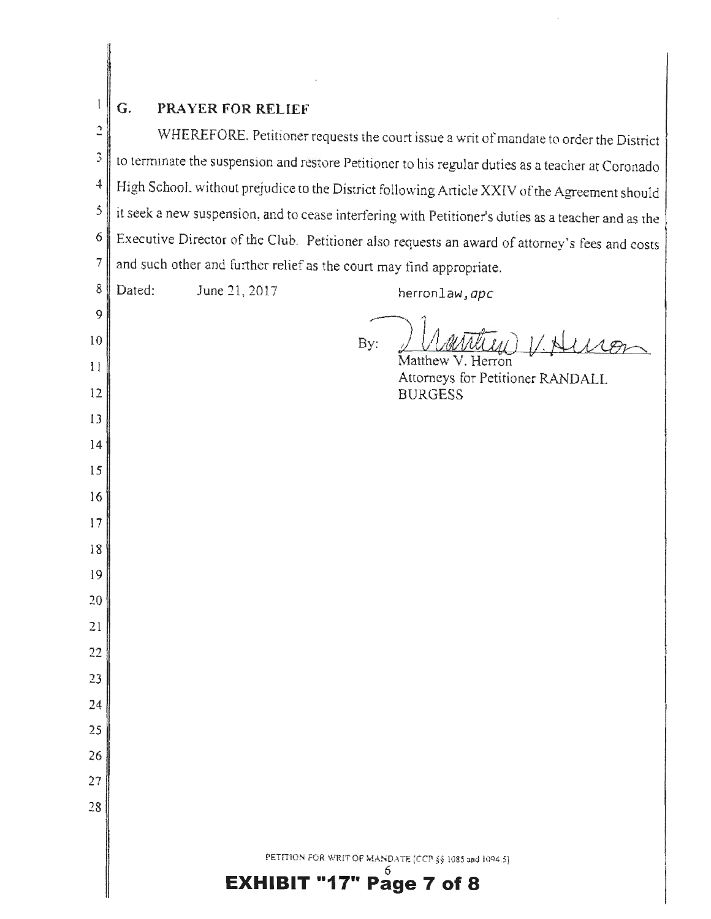|              | G.<br><b>PRAYER FOR RELIEF</b>                                                                      |
|--------------|-----------------------------------------------------------------------------------------------------|
| 2            | WHEREFORE. Petitioner requests the court issue a writ of mandate to order the District              |
| 3            | to terminate the suspension and restore Petitioner to his regular duties as a teacher at Coronado   |
| $\ddagger$   | High School, without prejudice to the District following Article XXIV of the Agreement should       |
| 5            | it seek a new suspension, and to cease interfering with Petitioner's duties as a teacher and as the |
| 6            | Executive Director of the Club. Petitioner also requests an award of attorney's fees and costs      |
| 7            | and such other and further relief as the court may find appropriate.                                |
| 8            | Dated:<br>June 21, 2017<br>herronlaw, apc                                                           |
| 9            |                                                                                                     |
| 10           | By:                                                                                                 |
| $\mathbf{1}$ | Matthew V. Herron<br>Attorneys for Petitioner RANDALL                                               |
| 12           | <b>BURGESS</b>                                                                                      |
| 13           |                                                                                                     |
| 14           |                                                                                                     |
| 15           |                                                                                                     |
| 16           |                                                                                                     |
| 17           |                                                                                                     |
| 18           |                                                                                                     |
| 19           |                                                                                                     |
| 20           |                                                                                                     |
| 21           |                                                                                                     |
| 22           |                                                                                                     |
| 23           |                                                                                                     |
| 24           |                                                                                                     |
| 25           |                                                                                                     |
| 26           |                                                                                                     |
| 27           |                                                                                                     |
| 28           |                                                                                                     |
|              |                                                                                                     |
|              | PETITION FOR WRIT OF MANDATE [CCP §§ 1085 and 1094.5]<br><b>EXHIBIT "17" Page 7 of 8</b>            |
|              |                                                                                                     |

 $\frac{1}{\sqrt{2}}$